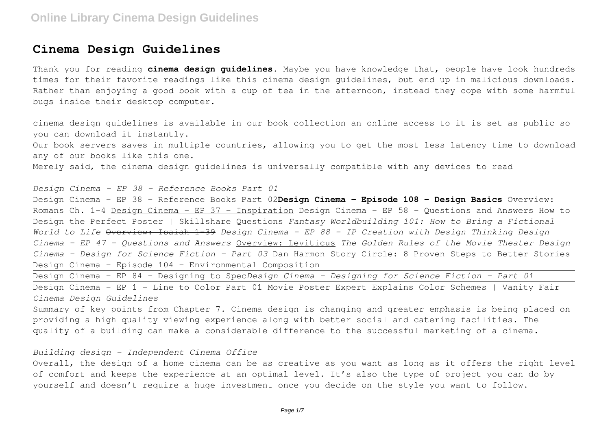### **Cinema Design Guidelines**

Thank you for reading **cinema design guidelines**. Maybe you have knowledge that, people have look hundreds times for their favorite readings like this cinema design guidelines, but end up in malicious downloads. Rather than enjoying a good book with a cup of tea in the afternoon, instead they cope with some harmful bugs inside their desktop computer.

cinema design guidelines is available in our book collection an online access to it is set as public so you can download it instantly.

Our book servers saves in multiple countries, allowing you to get the most less latency time to download any of our books like this one.

Merely said, the cinema design guidelines is universally compatible with any devices to read

### *Design Cinema – EP 38 - Reference Books Part 01*

Design Cinema – EP 38 - Reference Books Part 02**Design Cinema - Episode 108 - Design Basics** Overview: Romans Ch. 1-4 Design Cinema - EP 37 - Inspiration Design Cinema - EP 58 - Questions and Answers How to Design the Perfect Poster | Skillshare Questions *Fantasy Worldbuilding 101: How to Bring a Fictional World to Life* Overview: Isaiah 1-39 *Design Cinema - EP 88 - IP Creation with Design Thinking Design Cinema – EP 47 - Questions and Answers* Overview: Leviticus *The Golden Rules of the Movie Theater Design Cinema - Design for Science Fiction - Part 03* Dan Harmon Story Circle: 8 Proven Steps to Better Stories Design Cinema - Episode 104 - Environmental Composition

Design Cinema - EP 84 - Designing to Spec*Design Cinema - Designing for Science Fiction - Part 01* Design Cinema – EP 1 - Line to Color Part 01 Movie Poster Expert Explains Color Schemes | Vanity Fair *Cinema Design Guidelines*

Summary of key points from Chapter 7. Cinema design is changing and greater emphasis is being placed on providing a high quality viewing experience along with better social and catering facilities. The quality of a building can make a considerable difference to the successful marketing of a cinema.

### *Building design - Independent Cinema Office*

Overall, the design of a home cinema can be as creative as you want as long as it offers the right level of comfort and keeps the experience at an optimal level. It's also the type of project you can do by yourself and doesn't require a huge investment once you decide on the style you want to follow.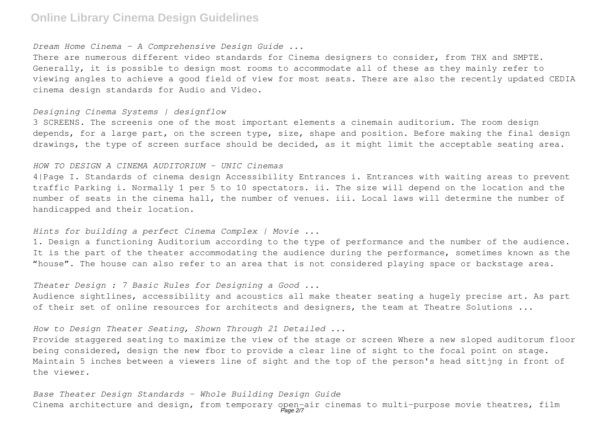#### *Dream Home Cinema - A Comprehensive Design Guide ...*

There are numerous different video standards for Cinema designers to consider, from THX and SMPTE. Generally, it is possible to design most rooms to accommodate all of these as they mainly refer to viewing angles to achieve a good field of view for most seats. There are also the recently updated CEDIA cinema design standards for Audio and Video.

#### *Designing Cinema Systems | designflow*

3 SCREENS. The screenis one of the most important elements a cinemain auditorium. The room design depends, for a large part, on the screen type, size, shape and position. Before making the final design drawings, the type of screen surface should be decided, as it might limit the acceptable seating area.

#### *HOW TO DESIGN A CINEMA AUDITORIUM - UNIC Cinemas*

4|Page I. Standards of cinema design Accessibility Entrances i. Entrances with waiting areas to prevent traffic Parking i. Normally 1 per 5 to 10 spectators. ii. The size will depend on the location and the number of seats in the cinema hall, the number of venues. iii. Local laws will determine the number of handicapped and their location.

#### *Hints for building a perfect Cinema Complex | Movie ...*

1. Design a functioning Auditorium according to the type of performance and the number of the audience. It is the part of the theater accommodating the audience during the performance, sometimes known as the "house". The house can also refer to an area that is not considered playing space or backstage area.

#### *Theater Design : 7 Basic Rules for Designing a Good ...*

Audience sightlines, accessibility and acoustics all make theater seating a hugely precise art. As part of their set of online resources for architects and designers, the team at Theatre Solutions ...

### *How to Design Theater Seating, Shown Through 21 Detailed ...*

Provide staggered seating to maximize the view of the stage or screen Where a new sloped auditorum floor being considered, design the new fbor to provide a clear line of sight to the focal point on stage. Maintain 5 inches between a viewers line of sight and the top of the person's head sittjng in front of the viewer.

*Base Theater Design Standards - Whole Building Design Guide* Cinema architecture and design, from temporary open-air cinemas to multi-purpose movie theatres, film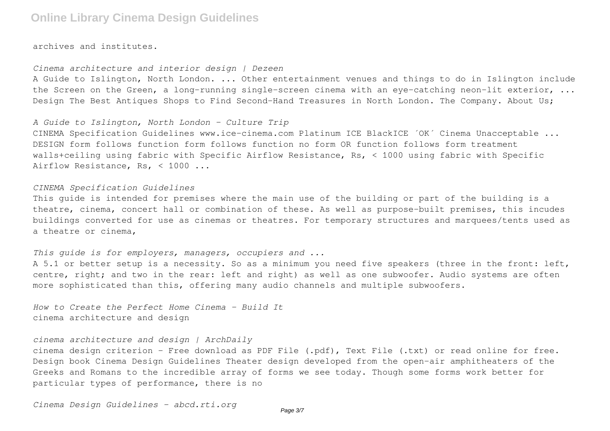archives and institutes.

#### *Cinema architecture and interior design | Dezeen*

A Guide to Islington, North London. ... Other entertainment venues and things to do in Islington include the Screen on the Green, a long-running single-screen cinema with an eye-catching neon-lit exterior, ... Design The Best Antiques Shops to Find Second-Hand Treasures in North London. The Company. About Us;

#### *A Guide to Islington, North London - Culture Trip*

CINEMA Specification Guidelines www.ice-cinema.com Platinum ICE BlackICE ´OK´ Cinema Unacceptable ... DESIGN form follows function form follows function no form OR function follows form treatment walls+ceiling using fabric with Specific Airflow Resistance, Rs, < 1000 using fabric with Specific Airflow Resistance, Rs, < 1000 ...

#### *CINEMA Specification Guidelines*

This guide is intended for premises where the main use of the building or part of the building is a theatre, cinema, concert hall or combination of these. As well as purpose-built premises, this incudes buildings converted for use as cinemas or theatres. For temporary structures and marquees/tents used as a theatre or cinema,

### *This guide is for employers, managers, occupiers and ...*

A 5.1 or better setup is a necessity. So as a minimum you need five speakers (three in the front: left, centre, right; and two in the rear: left and right) as well as one subwoofer. Audio systems are often more sophisticated than this, offering many audio channels and multiple subwoofers.

*How to Create the Perfect Home Cinema - Build It* cinema architecture and design

### *cinema architecture and design | ArchDaily*

cinema design criterion - Free download as PDF File (.pdf), Text File (.txt) or read online for free. Design book Cinema Design Guidelines Theater design developed from the open-air amphitheaters of the Greeks and Romans to the incredible array of forms we see today. Though some forms work better for particular types of performance, there is no

*Cinema Design Guidelines - abcd.rti.org*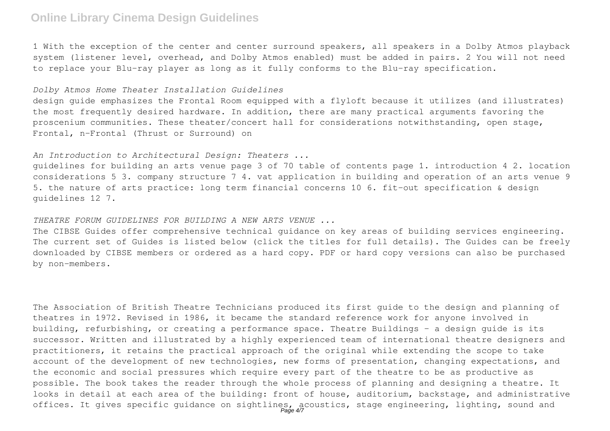1 With the exception of the center and center surround speakers, all speakers in a Dolby Atmos playback system (listener level, overhead, and Dolby Atmos enabled) must be added in pairs. 2 You will not need to replace your Blu-ray player as long as it fully conforms to the Blu-ray specification.

#### *Dolby Atmos Home Theater Installation Guidelines*

design guide emphasizes the Frontal Room equipped with a flyloft because it utilizes (and illustrates) the most frequently desired hardware. In addition, there are many practical arguments favoring the proscenium communities. These theater/concert hall for considerations notwithstanding, open stage, Frontal, n-Frontal (Thrust or Surround) on

#### *An Introduction to Architectural Design: Theaters ...*

guidelines for building an arts venue page 3 of 70 table of contents page 1. introduction 4 2. location considerations 5 3. company structure 7 4. vat application in building and operation of an arts venue 9 5. the nature of arts practice: long term financial concerns 10 6. fit-out specification & design guidelines 12 7.

#### *THEATRE FORUM GUIDELINES FOR BUILDING A NEW ARTS VENUE ...*

The CIBSE Guides offer comprehensive technical guidance on key areas of building services engineering. The current set of Guides is listed below (click the titles for full details). The Guides can be freely downloaded by CIBSE members or ordered as a hard copy. PDF or hard copy versions can also be purchased by non-members.

The Association of British Theatre Technicians produced its first guide to the design and planning of theatres in 1972. Revised in 1986, it became the standard reference work for anyone involved in building, refurbishing, or creating a performance space. Theatre Buildings – a design guide is its successor. Written and illustrated by a highly experienced team of international theatre designers and practitioners, it retains the practical approach of the original while extending the scope to take account of the development of new technologies, new forms of presentation, changing expectations, and the economic and social pressures which require every part of the theatre to be as productive as possible. The book takes the reader through the whole process of planning and designing a theatre. It looks in detail at each area of the building: front of house, auditorium, backstage, and administrative offices. It gives specific guidance on sightlines, acoustics, stage engineering, lighting, sound and<br>Page 47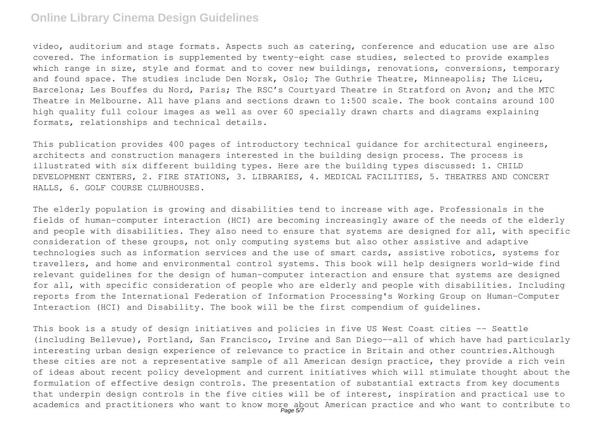video, auditorium and stage formats. Aspects such as catering, conference and education use are also covered. The information is supplemented by twenty-eight case studies, selected to provide examples which range in size, style and format and to cover new buildings, renovations, conversions, temporary and found space. The studies include Den Norsk, Oslo; The Guthrie Theatre, Minneapolis; The Liceu, Barcelona; Les Bouffes du Nord, Paris; The RSC's Courtyard Theatre in Stratford on Avon; and the MTC Theatre in Melbourne. All have plans and sections drawn to 1:500 scale. The book contains around 100 high quality full colour images as well as over 60 specially drawn charts and diagrams explaining formats, relationships and technical details.

This publication provides 400 pages of introductory technical guidance for architectural engineers, architects and construction managers interested in the building design process. The process is illustrated with six different building types. Here are the building types discussed: 1. CHILD DEVELOPMENT CENTERS, 2. FIRE STATIONS, 3. LIBRARIES, 4. MEDICAL FACILITIES, 5. THEATRES AND CONCERT HALLS, 6. GOLF COURSE CLUBHOUSES.

The elderly population is growing and disabilities tend to increase with age. Professionals in the fields of human-computer interaction (HCI) are becoming increasingly aware of the needs of the elderly and people with disabilities. They also need to ensure that systems are designed for all, with specific consideration of these groups, not only computing systems but also other assistive and adaptive technologies such as information services and the use of smart cards, assistive robotics, systems for travellers, and home and environmental control systems. This book will help designers world-wide find relevant guidelines for the design of human-computer interaction and ensure that systems are designed for all, with specific consideration of people who are elderly and people with disabilities. Including reports from the International Federation of Information Processing's Working Group on Human-Computer Interaction (HCI) and Disability. The book will be the first compendium of guidelines.

This book is a study of design initiatives and policies in five US West Coast cities -- Seattle (including Bellevue), Portland, San Francisco, Irvine and San Diego--all of which have had particularly interesting urban design experience of relevance to practice in Britain and other countries.Although these cities are not a representative sample of all American design practice, they provide a rich vein of ideas about recent policy development and current initiatives which will stimulate thought about the formulation of effective design controls. The presentation of substantial extracts from key documents that underpin design controls in the five cities will be of interest, inspiration and practical use to academics and practitioners who want to know more about American practice and who want to contribute to<br>Page 5/7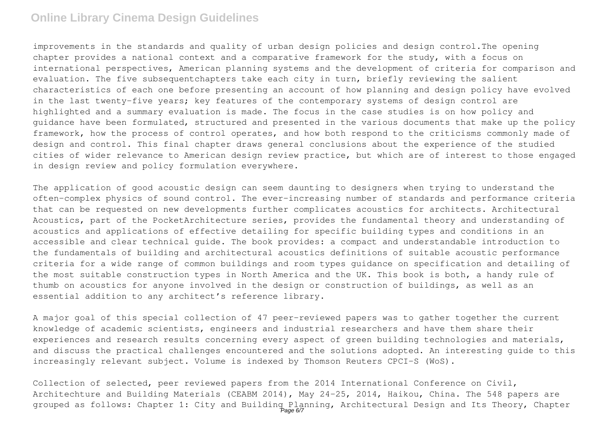improvements in the standards and quality of urban design policies and design control.The opening chapter provides a national context and a comparative framework for the study, with a focus on international perspectives, American planning systems and the development of criteria for comparison and evaluation. The five subsequentchapters take each city in turn, briefly reviewing the salient characteristics of each one before presenting an account of how planning and design policy have evolved in the last twenty-five years; key features of the contemporary systems of design control are highlighted and a summary evaluation is made. The focus in the case studies is on how policy and guidance have been formulated, structured and presented in the various documents that make up the policy framework, how the process of control operates, and how both respond to the criticisms commonly made of design and control. This final chapter draws general conclusions about the experience of the studied cities of wider relevance to American design review practice, but which are of interest to those engaged in design review and policy formulation everywhere.

The application of good acoustic design can seem daunting to designers when trying to understand the often-complex physics of sound control. The ever-increasing number of standards and performance criteria that can be requested on new developments further complicates acoustics for architects. Architectural Acoustics, part of the PocketArchitecture series, provides the fundamental theory and understanding of acoustics and applications of effective detailing for specific building types and conditions in an accessible and clear technical guide. The book provides: a compact and understandable introduction to the fundamentals of building and architectural acoustics definitions of suitable acoustic performance criteria for a wide range of common buildings and room types guidance on specification and detailing of the most suitable construction types in North America and the UK. This book is both, a handy rule of thumb on acoustics for anyone involved in the design or construction of buildings, as well as an essential addition to any architect's reference library.

A major goal of this special collection of 47 peer-reviewed papers was to gather together the current knowledge of academic scientists, engineers and industrial researchers and have them share their experiences and research results concerning every aspect of green building technologies and materials, and discuss the practical challenges encountered and the solutions adopted. An interesting guide to this increasingly relevant subject. Volume is indexed by Thomson Reuters CPCI-S (WoS).

Collection of selected, peer reviewed papers from the 2014 International Conference on Civil, Architechture and Building Materials (CEABM 2014), May 24-25, 2014, Haikou, China. The 548 papers are grouped as follows: Chapter 1: City and Building Planning, Architectural Design and Its Theory, Chapter